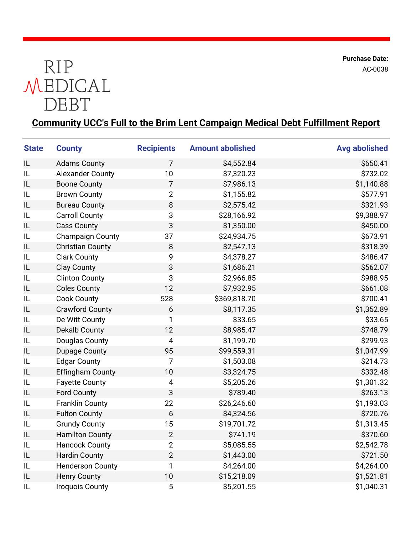**Purchase Date:** AC-0038



## **Community UCC's Full to the Brim Lent Campaign Medical Debt Fulfillment Report**

| <b>State</b> | <b>County</b>           | <b>Recipients</b>        | <b>Amount abolished</b> | <b>Avg abolished</b> |
|--------------|-------------------------|--------------------------|-------------------------|----------------------|
| IL           | <b>Adams County</b>     | 7                        | \$4,552.84              | \$650.41             |
| IL           | <b>Alexander County</b> | 10                       | \$7,320.23              | \$732.02             |
| IL           | <b>Boone County</b>     | $\overline{7}$           | \$7,986.13              | \$1,140.88           |
| IL           | <b>Brown County</b>     | $\overline{2}$           | \$1,155.82              | \$577.91             |
| IL           | <b>Bureau County</b>    | 8                        | \$2,575.42              | \$321.93             |
| IL           | <b>Carroll County</b>   | 3                        | \$28,166.92             | \$9,388.97           |
| IL           | <b>Cass County</b>      | 3                        | \$1,350.00              | \$450.00             |
| IL           | <b>Champaign County</b> | 37                       | \$24,934.75             | \$673.91             |
| IL           | <b>Christian County</b> | 8                        | \$2,547.13              | \$318.39             |
| IL           | <b>Clark County</b>     | 9                        | \$4,378.27              | \$486.47             |
| IL           | <b>Clay County</b>      | 3                        | \$1,686.21              | \$562.07             |
| IL           | <b>Clinton County</b>   | 3                        | \$2,966.85              | \$988.95             |
| IL           | <b>Coles County</b>     | 12                       | \$7,932.95              | \$661.08             |
| IL           | <b>Cook County</b>      | 528                      | \$369,818.70            | \$700.41             |
| IL           | <b>Crawford County</b>  | 6                        | \$8,117.35              | \$1,352.89           |
| IL           | De Witt County          | 1                        | \$33.65                 | \$33.65              |
| IL           | <b>Dekalb County</b>    | 12                       | \$8,985.47              | \$748.79             |
| IL           | Douglas County          | $\overline{\mathcal{A}}$ | \$1,199.70              | \$299.93             |
| IL           | <b>Dupage County</b>    | 95                       | \$99,559.31             | \$1,047.99           |
| IL           | <b>Edgar County</b>     | $\overline{7}$           | \$1,503.08              | \$214.73             |
| IL           | <b>Effingham County</b> | 10                       | \$3,324.75              | \$332.48             |
| IL           | <b>Fayette County</b>   | $\overline{4}$           | \$5,205.26              | \$1,301.32           |
| IL           | <b>Ford County</b>      | 3                        | \$789.40                | \$263.13             |
| IL           | <b>Franklin County</b>  | 22                       | \$26,246.60             | \$1,193.03           |
| IL           | <b>Fulton County</b>    | 6                        | \$4,324.56              | \$720.76             |
| IL           | <b>Grundy County</b>    | 15                       | \$19,701.72             | \$1,313.45           |
| IL           | <b>Hamilton County</b>  | $\overline{2}$           | \$741.19                | \$370.60             |
| IL           | <b>Hancock County</b>   | $\overline{2}$           | \$5,085.55              | \$2,542.78           |
| IL           | <b>Hardin County</b>    | $\overline{2}$           | \$1,443.00              | \$721.50             |
| IL           | <b>Henderson County</b> | 1                        | \$4,264.00              | \$4,264.00           |
| IL           | <b>Henry County</b>     | 10                       | \$15,218.09             | \$1,521.81           |
| IL           | <b>Iroquois County</b>  | $\mathbf 5$              | \$5,201.55              | \$1,040.31           |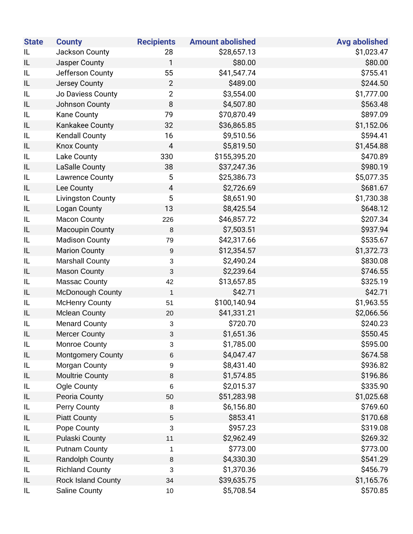| <b>State</b> | <b>County</b>             | <b>Recipients</b>         | <b>Amount abolished</b> | <b>Avg abolished</b> |
|--------------|---------------------------|---------------------------|-------------------------|----------------------|
| IL           | Jackson County            | 28                        | \$28,657.13             | \$1,023.47           |
| IL           | Jasper County             | 1                         | \$80.00                 | \$80.00              |
| IL           | Jefferson County          | 55                        | \$41,547.74             | \$755.41             |
| IL           | Jersey County             | $\overline{2}$            | \$489.00                | \$244.50             |
| IL           | Jo Daviess County         | $\overline{2}$            | \$3,554.00              | \$1,777.00           |
| IL           | Johnson County            | 8                         | \$4,507.80              | \$563.48             |
| IL           | Kane County               | 79                        | \$70,870.49             | \$897.09             |
| IL           | Kankakee County           | 32                        | \$36,865.85             | \$1,152.06           |
| IL           | <b>Kendall County</b>     | 16                        | \$9,510.56              | \$594.41             |
| IL           | <b>Knox County</b>        | $\overline{a}$            | \$5,819.50              | \$1,454.88           |
| IL           | Lake County               | 330                       | \$155,395.20            | \$470.89             |
| IL           | <b>LaSalle County</b>     | 38                        | \$37,247.36             | \$980.19             |
| IL           | <b>Lawrence County</b>    | 5                         | \$25,386.73             | \$5,077.35           |
| IL           | Lee County                | 4                         | \$2,726.69              | \$681.67             |
| IL           | <b>Livingston County</b>  | 5                         | \$8,651.90              | \$1,730.38           |
| IL           | <b>Logan County</b>       | 13                        | \$8,425.54              | \$648.12             |
| IL           | <b>Macon County</b>       | 226                       | \$46,857.72             | \$207.34             |
| IL           | <b>Macoupin County</b>    | $\,8\,$                   | \$7,503.51              | \$937.94             |
| IL           | <b>Madison County</b>     | 79                        | \$42,317.66             | \$535.67             |
| IL           | <b>Marion County</b>      | $\boldsymbol{9}$          | \$12,354.57             | \$1,372.73           |
| IL           | <b>Marshall County</b>    | $\ensuremath{\mathsf{3}}$ | \$2,490.24              | \$830.08             |
| IL           | <b>Mason County</b>       | $\ensuremath{\mathsf{3}}$ | \$2,239.64              | \$746.55             |
| IL           | Massac County             | 42                        | \$13,657.85             | \$325.19             |
| IL           | McDonough County          | $\mathbf 1$               | \$42.71                 | \$42.71              |
| IL           | <b>McHenry County</b>     | 51                        | \$100,140.94            | \$1,963.55           |
| IL           | <b>Mclean County</b>      | 20                        | \$41,331.21             | \$2,066.56           |
| IL           | <b>Menard County</b>      | $\ensuremath{\mathsf{3}}$ | \$720.70                | \$240.23             |
| IL           | <b>Mercer County</b>      | $\ensuremath{\mathsf{3}}$ | \$1,651.36              | \$550.45             |
| IL           | <b>Monroe County</b>      | 3                         | \$1,785.00              | \$595.00             |
| IL           | <b>Montgomery County</b>  | $\,6$                     | \$4,047.47              | \$674.58             |
| IL           | Morgan County             | 9                         | \$8,431.40              | \$936.82             |
| IL           | <b>Moultrie County</b>    | $\bf 8$                   | \$1,574.85              | \$196.86             |
| IL           | Ogle County               | 6                         | \$2,015.37              | \$335.90             |
| IL           | Peoria County             | 50                        | \$51,283.98             | \$1,025.68           |
| IL           | Perry County              | $\bf 8$                   | \$6,156.80              | \$769.60             |
| IL           | <b>Piatt County</b>       | $\sqrt{5}$                | \$853.41                | \$170.68             |
| IL           | Pope County               | $\sqrt{3}$                | \$957.23                | \$319.08             |
| IL           | <b>Pulaski County</b>     | 11                        | \$2,962.49              | \$269.32             |
| IL           | <b>Putnam County</b>      | 1                         | \$773.00                | \$773.00             |
| IL           | Randolph County           | $\,8\,$                   | \$4,330.30              | \$541.29             |
| IL           | <b>Richland County</b>    | 3                         | \$1,370.36              | \$456.79             |
| IL           | <b>Rock Island County</b> | 34                        | \$39,635.75             | \$1,165.76           |
| IL           | <b>Saline County</b>      | 10                        | \$5,708.54              | \$570.85             |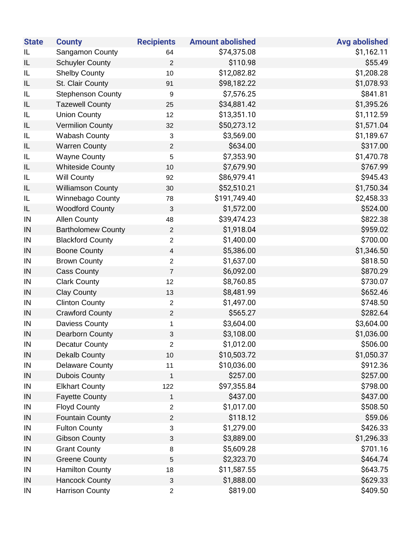| <b>State</b> | <b>County</b>             | <b>Recipients</b>         | <b>Amount abolished</b> | <b>Avg abolished</b> |
|--------------|---------------------------|---------------------------|-------------------------|----------------------|
| IL           | Sangamon County           | 64                        | \$74,375.08             | \$1,162.11           |
| IL           | <b>Schuyler County</b>    | $\overline{2}$            | \$110.98                | \$55.49              |
| IL           | <b>Shelby County</b>      | 10                        | \$12,082.82             | \$1,208.28           |
| IL           | St. Clair County          | 91                        | \$98,182.22             | \$1,078.93           |
| IL           | <b>Stephenson County</b>  | $\boldsymbol{9}$          | \$7,576.25              | \$841.81             |
| IL           | <b>Tazewell County</b>    | 25                        | \$34,881.42             | \$1,395.26           |
| IL           | <b>Union County</b>       | 12                        | \$13,351.10             | \$1,112.59           |
| IL           | <b>Vermilion County</b>   | 32                        | \$50,273.12             | \$1,571.04           |
| IL           | <b>Wabash County</b>      | $\sqrt{3}$                | \$3,569.00              | \$1,189.67           |
| IL           | <b>Warren County</b>      | $\boldsymbol{2}$          | \$634.00                | \$317.00             |
| IL           | <b>Wayne County</b>       | 5                         | \$7,353.90              | \$1,470.78           |
| IL           | <b>Whiteside County</b>   | 10                        | \$7,679.90              | \$767.99             |
| IL           | <b>Will County</b>        | 92                        | \$86,979.41             | \$945.43             |
| IL           | <b>Williamson County</b>  | 30                        | \$52,510.21             | \$1,750.34           |
| IL           | Winnebago County          | 78                        | \$191,749.40            | \$2,458.33           |
| IL           | <b>Woodford County</b>    | $\sqrt{3}$                | \$1,572.00              | \$524.00             |
| IN           | <b>Allen County</b>       | 48                        | \$39,474.23             | \$822.38             |
| IN           | <b>Bartholomew County</b> | $\sqrt{2}$                | \$1,918.04              | \$959.02             |
| IN           | <b>Blackford County</b>   | $\boldsymbol{2}$          | \$1,400.00              | \$700.00             |
| IN           | <b>Boone County</b>       | $\overline{\mathbf{4}}$   | \$5,386.00              | \$1,346.50           |
| IN           | <b>Brown County</b>       | $\overline{2}$            | \$1,637.00              | \$818.50             |
| IN           | <b>Cass County</b>        | $\boldsymbol{7}$          | \$6,092.00              | \$870.29             |
| IN           | <b>Clark County</b>       | 12                        | \$8,760.85              | \$730.07             |
| IN           | <b>Clay County</b>        | 13                        | \$8,481.99              | \$652.46             |
| IN           | <b>Clinton County</b>     | $\boldsymbol{2}$          | \$1,497.00              | \$748.50             |
| IN           | <b>Crawford County</b>    | $\sqrt{2}$                | \$565.27                | \$282.64             |
| IN           | Daviess County            | $\mathbf{1}$              | \$3,604.00              | \$3,604.00           |
| IN           | <b>Dearborn County</b>    | $\ensuremath{\mathsf{3}}$ | \$3,108.00              | \$1,036.00           |
| IN           | <b>Decatur County</b>     | $\overline{2}$            | \$1,012.00              | \$506.00             |
| IN           | <b>Dekalb County</b>      | 10                        | \$10,503.72             | \$1,050.37           |
| IN           | <b>Delaware County</b>    | 11                        | \$10,036.00             | \$912.36             |
| IN           | <b>Dubois County</b>      | $\mathbf 1$               | \$257.00                | \$257.00             |
| IN           | <b>Elkhart County</b>     | 122                       | \$97,355.84             | \$798.00             |
| IN           | <b>Fayette County</b>     | $\mathbf 1$               | \$437.00                | \$437.00             |
| IN           | <b>Floyd County</b>       | $\boldsymbol{2}$          | \$1,017.00              | \$508.50             |
| IN           | <b>Fountain County</b>    | $\boldsymbol{2}$          | \$118.12                | \$59.06              |
| IN           | <b>Fulton County</b>      | $\ensuremath{\mathsf{3}}$ | \$1,279.00              | \$426.33             |
| IN           | <b>Gibson County</b>      | $\ensuremath{\mathsf{3}}$ | \$3,889.00              | \$1,296.33           |
| IN           | <b>Grant County</b>       | $\bf 8$                   | \$5,609.28              | \$701.16             |
| IN           | <b>Greene County</b>      | 5                         | \$2,323.70              | \$464.74             |
| IN           | <b>Hamilton County</b>    | 18                        | \$11,587.55             | \$643.75             |
| IN           | <b>Hancock County</b>     | $\ensuremath{\mathsf{3}}$ | \$1,888.00              | \$629.33             |
| IN           | <b>Harrison County</b>    | $\overline{2}$            | \$819.00                | \$409.50             |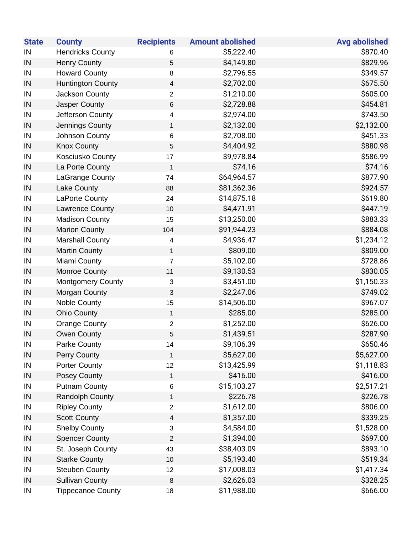| <b>State</b> | <b>County</b>            | <b>Recipients</b>         | <b>Amount abolished</b> | <b>Avg abolished</b> |
|--------------|--------------------------|---------------------------|-------------------------|----------------------|
| IN           | <b>Hendricks County</b>  | 6                         | \$5,222.40              | \$870.40             |
| IN           | <b>Henry County</b>      | 5                         | \$4,149.80              | \$829.96             |
| IN           | <b>Howard County</b>     | 8                         | \$2,796.55              | \$349.57             |
| IN           | <b>Huntington County</b> | $\overline{\mathbf{4}}$   | \$2,702.00              | \$675.50             |
| IN           | Jackson County           | 2                         | \$1,210.00              | \$605.00             |
| IN           | Jasper County            | $\,6$                     | \$2,728.88              | \$454.81             |
| IN           | Jefferson County         | 4                         | \$2,974.00              | \$743.50             |
| IN           | Jennings County          | $\mathbf{1}$              | \$2,132.00              | \$2,132.00           |
| IN           | Johnson County           | $\,6$                     | \$2,708.00              | \$451.33             |
| IN           | <b>Knox County</b>       | $\sqrt{5}$                | \$4,404.92              | \$880.98             |
| IN           | Kosciusko County         | 17                        | \$9,978.84              | \$586.99             |
| IN           | La Porte County          | $\mathbf{1}$              | \$74.16                 | \$74.16              |
| IN           | LaGrange County          | 74                        | \$64,964.57             | \$877.90             |
| IN           | Lake County              | 88                        | \$81,362.36             | \$924.57             |
| IN           | LaPorte County           | 24                        | \$14,875.18             | \$619.80             |
| IN           | Lawrence County          | 10                        | \$4,471.91              | \$447.19             |
| IN           | <b>Madison County</b>    | 15                        | \$13,250.00             | \$883.33             |
| IN           | <b>Marion County</b>     | 104                       | \$91,944.23             | \$884.08             |
| IN           | <b>Marshall County</b>   | 4                         | \$4,936.47              | \$1,234.12           |
| IN           | <b>Martin County</b>     | $\mathbf{1}$              | \$809.00                | \$809.00             |
| IN           | Miami County             | $\overline{7}$            | \$5,102.00              | \$728.86             |
| IN           | Monroe County            | 11                        | \$9,130.53              | \$830.05             |
| IN           | <b>Montgomery County</b> | $\ensuremath{\mathsf{3}}$ | \$3,451.00              | \$1,150.33           |
| IN           | Morgan County            | $\sqrt{3}$                | \$2,247.06              | \$749.02             |
| IN           | <b>Noble County</b>      | 15                        | \$14,506.00             | \$967.07             |
| IN           | <b>Ohio County</b>       | $\mathbf{1}$              | \$285.00                | \$285.00             |
| IN           | <b>Orange County</b>     | $\overline{c}$            | \$1,252.00              | \$626.00             |
| IN           | Owen County              | 5                         | \$1,439.51              | \$287.90             |
| IN           | <b>Parke County</b>      | 14                        | \$9,106.39              | \$650.46             |
| IN           | Perry County             | $\mathbf{1}$              | \$5,627.00              | \$5,627.00           |
| IN           | <b>Porter County</b>     | 12                        | \$13,425.99             | \$1,118.83           |
| IN           | <b>Posey County</b>      | $\mathbf{1}$              | \$416.00                | \$416.00             |
| IN           | <b>Putnam County</b>     | $\,6$                     | \$15,103.27             | \$2,517.21           |
| IN           | Randolph County          | $\mathbf{1}$              | \$226.78                | \$226.78             |
| IN           | <b>Ripley County</b>     | $\overline{2}$            | \$1,612.00              | \$806.00             |
| IN           | <b>Scott County</b>      | $\overline{4}$            | \$1,357.00              | \$339.25             |
| IN           | <b>Shelby County</b>     | $\mathbf{3}$              | \$4,584.00              | \$1,528.00           |
| IN           | <b>Spencer County</b>    | $\overline{2}$            | \$1,394.00              | \$697.00             |
| IN           | St. Joseph County        | 43                        | \$38,403.09             | \$893.10             |
| IN           | <b>Starke County</b>     | 10                        | \$5,193.40              | \$519.34             |
| IN           | <b>Steuben County</b>    | 12                        | \$17,008.03             | \$1,417.34           |
| IN           | <b>Sullivan County</b>   | $\,8\,$                   | \$2,626.03              | \$328.25             |
| IN           | <b>Tippecanoe County</b> | 18                        | \$11,988.00             | \$666.00             |